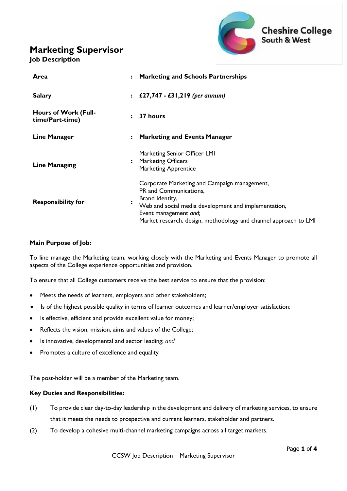## **Marketing Supervisor**





| Area                                           | $\ddot{\phantom{a}}$ | <b>Marketing and Schools Partnerships</b>                                                                                                                                                                                                      |
|------------------------------------------------|----------------------|------------------------------------------------------------------------------------------------------------------------------------------------------------------------------------------------------------------------------------------------|
| <b>Salary</b>                                  | $\ddot{\phantom{a}}$ | £27,747 - £31,219 (per annum)                                                                                                                                                                                                                  |
| <b>Hours of Work (Full-</b><br>time/Part-time) | $\ddot{\cdot}$       | 37 hours                                                                                                                                                                                                                                       |
| <b>Line Manager</b>                            | $\ddot{\cdot}$       | <b>Marketing and Events Manager</b>                                                                                                                                                                                                            |
| <b>Line Managing</b>                           |                      | Marketing Senior Officer LMI<br><b>Marketing Officers</b><br><b>Marketing Apprentice</b>                                                                                                                                                       |
| <b>Responsibility for</b>                      |                      | Corporate Marketing and Campaign management,<br>PR and Communications,<br>Brand Identity,<br>Web and social media development and implementation,<br>Event management and;<br>Market research, design, methodology and channel approach to LMI |

### **Main Purpose of Job:**

To line manage the Marketing team, working closely with the Marketing and Events Manager to promote all aspects of the College experience opportunities and provision.

To ensure that all College customers receive the best service to ensure that the provision:

- Meets the needs of learners, employers and other stakeholders;
- Is of the highest possible quality in terms of learner outcomes and learner/employer satisfaction;
- Is effective, efficient and provide excellent value for money;
- Reflects the vision, mission, aims and values of the College;
- Is innovative, developmental and sector leading; *and*
- Promotes a culture of excellence and equality

The post-holder will be a member of the Marketing team.

#### **Key Duties and Responsibilities:**

- (1) To provide clear day-to-day leadership in the development and delivery of marketing services, to ensure that it meets the needs to prospective and current learners, stakeholder and partners.
- (2) To develop a cohesive multi-channel marketing campaigns across all target markets.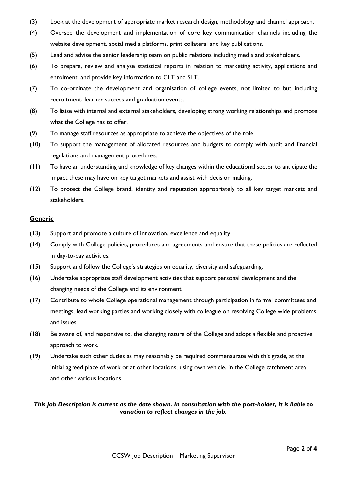- (3) Look at the development of appropriate market research design, methodology and channel approach.
- (4) Oversee the development and implementation of core key communication channels including the website development, social media platforms, print collateral and key publications.
- (5) Lead and advise the senior leadership team on public relations including media and stakeholders.
- (6) To prepare, review and analyse statistical reports in relation to marketing activity, applications and enrolment, and provide key information to CLT and SLT.
- (7) To co-ordinate the development and organisation of college events, not limited to but including recruitment, learner success and graduation events.
- (8) To liaise with internal and external stakeholders, developing strong working relationships and promote what the College has to offer.
- (9) To manage staff resources as appropriate to achieve the objectives of the role.
- (10) To support the management of allocated resources and budgets to comply with audit and financial regulations and management procedures.
- (11) To have an understanding and knowledge of key changes within the educational sector to anticipate the impact these may have on key target markets and assist with decision making.
- (12) To protect the College brand, identity and reputation appropriately to all key target markets and stakeholders.

#### **Generic**

- (13) Support and promote a culture of innovation, excellence and equality.
- (14) Comply with College policies, procedures and agreements and ensure that these policies are reflected in day-to-day activities.
- (15) Support and follow the College's strategies on equality, diversity and safeguarding.
- (16) Undertake appropriate staff development activities that support personal development and the changing needs of the College and its environment.
- (17) Contribute to whole College operational management through participation in formal committees and meetings, lead working parties and working closely with colleague on resolving College wide problems and issues.
- (18) Be aware of, and responsive to, the changing nature of the College and adopt a flexible and proactive approach to work.
- (19) Undertake such other duties as may reasonably be required commensurate with this grade, at the initial agreed place of work or at other locations, using own vehicle, in the College catchment area and other various locations.

#### *This Job Description is current as the date shown. In consultation with the post-holder, it is liable to variation to reflect changes in the job.*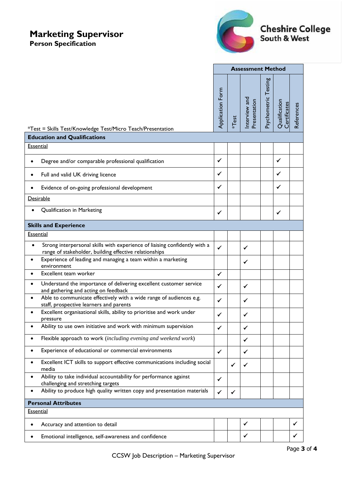# **Marketing Supervisor**

**Person Specification**



|                                                                                                                                                   | <b>Assessment Method</b> |              |                               |                      |                               |            |
|---------------------------------------------------------------------------------------------------------------------------------------------------|--------------------------|--------------|-------------------------------|----------------------|-------------------------------|------------|
| *Test = Skills Test/Knowledge Test/Micro Teach/Presentation                                                                                       | Application Form         | <b>*Test</b> | Interview and<br>Presentation | Psychometric Testing | Qualification<br>Certificates | References |
| <b>Education and Qualifications</b>                                                                                                               |                          |              |                               |                      |                               |            |
| <b>Essential</b>                                                                                                                                  |                          |              |                               |                      |                               |            |
| Degree and/or comparable professional qualification                                                                                               | ✓                        |              |                               |                      | ✓                             |            |
| Full and valid UK driving licence                                                                                                                 | ✓                        |              |                               |                      | ✓                             |            |
| Evidence of on-going professional development                                                                                                     | ✓                        |              |                               |                      | ✓                             |            |
| Desirable                                                                                                                                         |                          |              |                               |                      |                               |            |
| Qualification in Marketing                                                                                                                        | ✓                        |              |                               |                      | ✓                             |            |
| <b>Skills and Experience</b>                                                                                                                      |                          |              |                               |                      |                               |            |
| <b>Essential</b>                                                                                                                                  |                          |              |                               |                      |                               |            |
| Strong interpersonal skills with experience of liaising confidently with a<br>$\bullet$<br>range of stakeholder, building effective relationships | ✔                        |              | ✔                             |                      |                               |            |
| Experience of leading and managing a team within a marketing<br>environment                                                                       |                          |              | ✔                             |                      |                               |            |
| Excellent team worker                                                                                                                             | ✓                        |              |                               |                      |                               |            |
| Understand the importance of delivering excellent customer service<br>and gathering and acting on feedback                                        | ✓                        |              | ✓                             |                      |                               |            |
| Able to communicate effectively with a wide range of audiences e.g.<br>staff, prospective learners and parents                                    | $\checkmark$             |              | ✓                             |                      |                               |            |
| Excellent organisational skills, ability to prioritise and work under<br>pressure                                                                 | ✓                        |              | ✓                             |                      |                               |            |
| Ability to use own initiative and work with minimum supervision                                                                                   | ✓                        |              | ✓                             |                      |                               |            |
| Flexible approach to work (including evening and weekend work)                                                                                    |                          |              | ✓                             |                      |                               |            |
| Experience of educational or commercial environments                                                                                              | $\checkmark$             |              | ✓                             |                      |                               |            |
| Excellent ICT skills to support effective communications including social<br>media                                                                |                          | ✓            | ✓                             |                      |                               |            |
| Ability to take individual accountability for performance against<br>challenging and stretching targets                                           |                          |              |                               |                      |                               |            |
| Ability to produce high quality written copy and presentation materials                                                                           | $\checkmark$             | ✔            |                               |                      |                               |            |
| <b>Personal Attributes</b>                                                                                                                        |                          |              |                               |                      |                               |            |
| <b>Essential</b>                                                                                                                                  |                          |              |                               |                      |                               |            |
| Accuracy and attention to detail                                                                                                                  |                          |              | ✓                             |                      |                               | ✔          |
| Emotional intelligence, self-awareness and confidence                                                                                             |                          |              | ✓                             |                      |                               | ✔          |